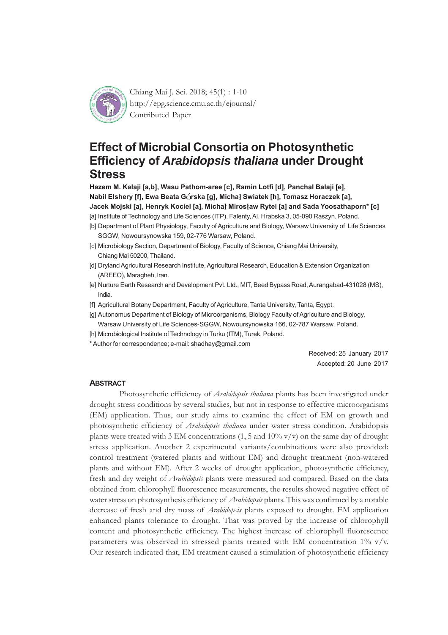

Chiang Mai J. Sci. 2018; 45(1) : 1-10 http://epg.science.cmu.ac.th/ejournal/ Contributed Paper

# **Effect of Microbial Consortia on Photosynthetic Efficiency of** *Arabidopsis thaliana* **under Drought Stress**

**Hazem M. Kalaji [a,b], Wasu Pathom-aree [c], Ramin Lotfi [d], Panchal Balaji [e], Nabil Elshery [f], Ewa Beata Górska [q], Micha} Swiatek [h], Tomasz Horaczek [a],** Jacek Mojski [a], Henryk Kociel [a], Michał Mirosław Rytel [a] and Sada Yoosathaporn\* [c]

- [a] Institute of Technology and Life Sciences (ITP), Falenty, Al. Hrabska 3, 05-090 Raszyn, Poland.
- [b] Department of Plant Physiology, Faculty of Agriculture and Biology, Warsaw University of Life Sciences SGGW, Nowoursynowska 159, 02-776 Warsaw, Poland.
- [c] Microbiology Section, Department of Biology, Faculty of Science, Chiang Mai University, Chiang Mai 50200, Thailand.
- [d] Dryland Agricultural Research Institute, Agricultural Research, Education & Extension Organization (AREEO), Maragheh, Iran.
- [e] Nurture Earth Research and Development Pvt. Ltd., MIT, Beed Bypass Road, Aurangabad-431028 (MS), India.
- [f] Agricultural Botany Department, Faculty of Agriculture, Tanta University, Tanta, Egypt.
- [g] Autonomus Department of Biology of Microorganisms, Biology Faculty of Agriculture and Biology, Warsaw University of Life Sciences-SGGW, Nowoursynowska 166, 02-787 Warsaw, Poland.
- [h] Microbiological Institute of Technology in Turku (ITM), Turek, Poland.

\* Author for correspondence; e-mail: shadhay@gmail.com

Received: 25 January 2017 Accepted: 20 June 2017

#### **ABSTRACT**

Photosynthetic efficiency of *Arabidopsis thaliana* plants has been investigated under drought stress conditions by several studies, but not in response to effective microorganisms (EM) application. Thus, our study aims to examine the effect of EM on growth and photosynthetic efficiency of *Arabidopsis thaliana* under water stress condition. Arabidopsis plants were treated with 3 EM concentrations (1, 5 and  $10\%$  v/v) on the same day of drought stress application. Another 2 experimental variants/combinations were also provided: control treatment (watered plants and without EM) and drought treatment (non-watered plants and without EM). After 2 weeks of drought application, photosynthetic efficiency, fresh and dry weight of *Arabidopsis* plants were measured and compared. Based on the data obtained from chlorophyll fluorescence measurements, the results showed negative effect of water stress on photosynthesis efficiency of *Arabidopsis* plants. This was confirmed by a notable decrease of fresh and dry mass of *Arabidopsis* plants exposed to drought. EM application enhanced plants tolerance to drought. That was proved by the increase of chlorophyll content and photosynthetic efficiency. The highest increase of chlorophyll fluorescence parameters was observed in stressed plants treated with EM concentration  $1\%$  v/v. Our research indicated that, EM treatment caused a stimulation of photosynthetic efficiency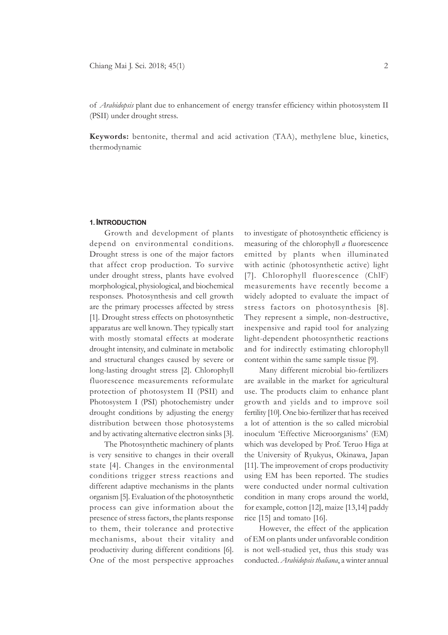of *Arabidopsis* plant due to enhancement of energy transfer efficiency within photosystem II (PSII) under drought stress.

**Keywords:** bentonite, thermal and acid activation (TAA), methylene blue, kinetics, thermodynamic

#### **1. INTRODUCTION**

Growth and development of plants depend on environmental conditions. Drought stress is one of the major factors that affect crop production. To survive under drought stress, plants have evolved morphological, physiological, and biochemical responses. Photosynthesis and cell growth are the primary processes affected by stress [1]. Drought stress effects on photosynthetic apparatus are well known. They typically start with mostly stomatal effects at moderate drought intensity, and culminate in metabolic and structural changes caused by severe or long-lasting drought stress [2]. Chlorophyll fluorescence measurements reformulate protection of photosystem II (PSII) and Photosystem I (PSI) photochemistry under drought conditions by adjusting the energy distribution between those photosystems and by activating alternative electron sinks [3].

The Photosynthetic machinery of plants is very sensitive to changes in their overall state [4]. Changes in the environmental conditions trigger stress reactions and different adaptive mechanisms in the plants organism [5]. Evaluation of the photosynthetic process can give information about the presence of stress factors, the plants response to them, their tolerance and protective mechanisms, about their vitality and productivity during different conditions [6]. One of the most perspective approaches

to investigate of photosynthetic efficiency is measuring of the chlorophyll *a* fluorescence emitted by plants when illuminated with actinic (photosynthetic active) light [7]. Chlorophyll fluorescence (ChlF) measurements have recently become a widely adopted to evaluate the impact of stress factors on photosynthesis [8]. They represent a simple, non-destructive, inexpensive and rapid tool for analyzing light-dependent photosynthetic reactions and for indirectly estimating chlorophyll content within the same sample tissue [9].

Many different microbial bio-fertilizers are available in the market for agricultural use. The products claim to enhance plant growth and yields and to improve soil fertility [10]. One bio-fertilizer that has received a lot of attention is the so called microbial inoculum 'Effective Microorganisms' (EM) which was developed by Prof. Teruo Higa at the University of Ryukyus, Okinawa, Japan [11]. The improvement of crops productivity using EM has been reported. The studies were conducted under normal cultivation condition in many crops around the world, for example, cotton [12], maize [13,14] paddy rice [15] and tomato [16].

However, the effect of the application of EM on plants under unfavorable condition is not well-studied yet, thus this study was conducted. *Arabidopsis thaliana*, a winter annual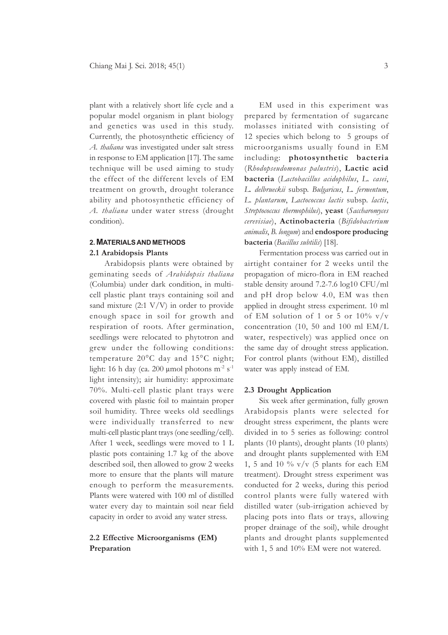plant with a relatively short life cycle and a popular model organism in plant biology and genetics was used in this study. Currently, the photosynthetic efficiency of *A. thaliana* was investigated under salt stress in response to EM application [17]. The same technique will be used aiming to study the effect of the different levels of EM treatment on growth, drought tolerance ability and photosynthetic efficiency of *A. thaliana* under water stress (drought condition).

## **2. MATERIALS AND METHODS 2.1 Arabidopsis Plants**

Arabidopsis plants were obtained by geminating seeds of *Arabidopsis thaliana* (Columbia) under dark condition, in multicell plastic plant trays containing soil and sand mixture  $(2.1 \text{ V/V})$  in order to provide enough space in soil for growth and respiration of roots. After germination, seedlings were relocated to phytotron and grew under the following conditions: temperature 20°C day and 15°C night; light: 16 h day (ca. 200 µmol photons  $m<sup>2</sup>$  s<sup>-1</sup> light intensity); air humidity: approximate 70%. Multi-cell plastic plant trays were covered with plastic foil to maintain proper soil humidity. Three weeks old seedlings were individually transferred to new multi-cell plastic plant trays (one seedling/cell). After 1 week, seedlings were moved to 1 L plastic pots containing 1.7 kg of the above described soil, then allowed to grow 2 weeks more to ensure that the plants will mature enough to perform the measurements. Plants were watered with 100 ml of distilled water every day to maintain soil near field capacity in order to avoid any water stress.

## **2.2 Effective Microorganisms (EM) Preparation**

EM used in this experiment was prepared by fermentation of sugarcane molasses initiated with consisting of 12 species which belong to 5 groups of microorganisms usually found in EM including: **photosynthetic bacteria** (*Rhodopseudomonas palustris*), **Lactic acid bacteria** (*Lactobacillus acidophilus*, *L. casei*, *L. delbrueckii* subsp. *Bulgaricus*, *L. fermentum*, *L. plantarum*, *Lactococcus lactis* subsp. *lactis*, *Streptococcus thermophilus*), **yeast** (*Saccharomyces cerevisiae*), **Actinobacteria** (*Bifidobacterium animalis*, *B. longum*) and **endospore producing bacteria** (*Bacillus subtilis*) [18].

Fermentation process was carried out in airtight container for 2 weeks until the propagation of micro-flora in EM reached stable density around 7.2-7.6 log10 CFU/ml and pH drop below 4.0, EM was then applied in drought stress experiment. 10 ml of EM solution of 1 or 5 or  $10\%$  v/v concentration (10, 50 and 100 ml EM/L water, respectively) was applied once on the same day of drought stress application. For control plants (without EM), distilled water was apply instead of EM.

#### **2.3 Drought Application**

Six week after germination, fully grown Arabidopsis plants were selected for drought stress experiment, the plants were divided in to 5 series as following: control plants (10 plants), drought plants (10 plants) and drought plants supplemented with EM 1, 5 and 10 %  $v/v$  (5 plants for each EM treatment). Drought stress experiment was conducted for 2 weeks, during this period control plants were fully watered with distilled water (sub-irrigation achieved by placing pots into flats or trays, allowing proper drainage of the soil), while drought plants and drought plants supplemented with 1, 5 and 10% EM were not watered.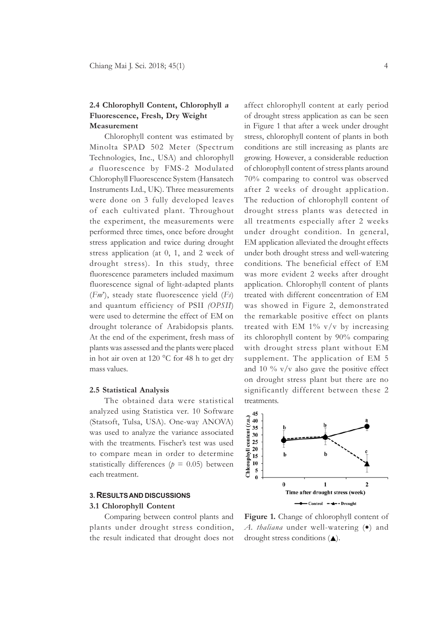# **2.4 Chlorophyll Content, Chlorophyll <sup>a</sup> Fluorescence, Fresh, Dry Weight Measurement**

Chlorophyll content was estimated by Minolta SPAD 502 Meter (Spectrum Technologies, Inc., USA) and chlorophyll *a* fluorescence by FMS-2 Modulated Chlorophyll Fluorescence System (Hansatech Instruments Ltd., UK). Three measurements were done on 3 fully developed leaves of each cultivated plant. Throughout the experiment, the measurements were performed three times, once before drought stress application and twice during drought stress application (at 0, 1, and 2 week of drought stress). In this study, three fluorescence parameters included maximum fluorescence signal of light-adapted plants (*Fm*'), steady state fluorescence yield (*Fs*) and quantum efficiency of PSII *(OPSII*) were used to determine the effect of EM on drought tolerance of Arabidopsis plants. At the end of the experiment, fresh mass of plants was assessed and the plants were placed in hot air oven at 120 °C for 48 h to get dry mass values.

#### **2.5 Statistical Analysis**

The obtained data were statistical analyzed using Statistica ver. 10 Software (Statsoft, Tulsa, USA). One-way ANOVA) was used to analyze the variance associated with the treatments. Fischer's test was used to compare mean in order to determine statistically differences ( $p = 0.05$ ) between each treatment.

#### **3. RESULTS AND DISCUSSIONS**

#### **3.1 Chlorophyll Content**

Comparing between control plants and plants under drought stress condition, the result indicated that drought does not

affect chlorophyll content at early period of drought stress application as can be seen in Figure 1 that after a week under drought stress, chlorophyll content of plants in both conditions are still increasing as plants are growing. However, a considerable reduction of chlorophyll content of stress plants around 70% comparing to control was observed after 2 weeks of drought application. The reduction of chlorophyll content of drought stress plants was detected in all treatments especially after 2 weeks under drought condition. In general, EM application alleviated the drought effects under both drought stress and well-watering conditions. The beneficial effect of EM was more evident 2 weeks after drought application. Chlorophyll content of plants treated with different concentration of EM was showed in Figure 2, demonstrated the remarkable positive effect on plants treated with EM  $1\%$  v/v by increasing its chlorophyll content by 90% comparing with drought stress plant without EM supplement. The application of EM 5 and 10  $\%$  v/v also gave the positive effect on drought stress plant but there are no significantly different between these 2 treatments.



**Figure 1.** Change of chlorophyll content of *A. thaliana* under well-watering (•) and drought stress conditions  $($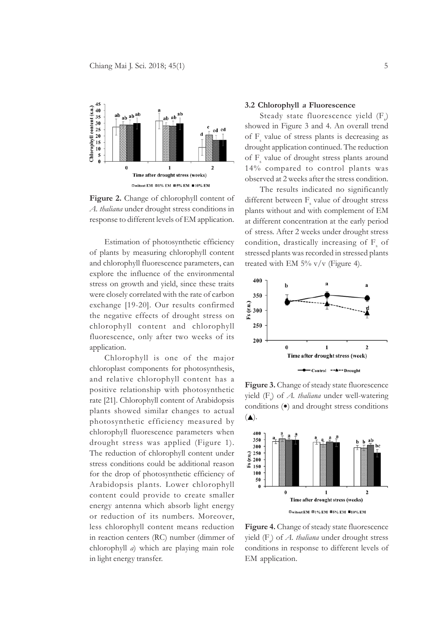

**Figure 2.** Change of chlorophyll content of *A. thaliana* under drought stress conditions in response to different levels of EM application.

Estimation of photosynthetic efficiency of plants by measuring chlorophyll content and chlorophyll fluorescence parameters, can explore the influence of the environmental stress on growth and yield, since these traits were closely correlated with the rate of carbon exchange [19-20]. Our results confirmed the negative effects of drought stress on chlorophyll content and chlorophyll fluorescence, only after two weeks of its application.

Chlorophyll is one of the major chloroplast components for photosynthesis, and relative chlorophyll content has a positive relationship with photosynthetic rate [21]. Chlorophyll content of Arabidopsis plants showed similar changes to actual photosynthetic efficiency measured by chlorophyll fluorescence parameters when drought stress was applied (Figure 1). The reduction of chlorophyll content under stress conditions could be additional reason for the drop of photosynthetic efficiency of Arabidopsis plants. Lower chlorophyll content could provide to create smaller energy antenna which absorb light energy or reduction of its numbers. Moreover, less chlorophyll content means reduction in reaction centers (RC) number (dimmer of chlorophyll *a*) which are playing main role in light energy transfer.

#### **3.2 Chlorophyll a Fluorescence**

Steady state fluorescence yield (F<sub>s</sub>) showed in Figure 3 and 4. An overall trend of F<sub>s</sub> value of stress plants is decreasing as drought application continued. The reduction of F<sub>s</sub> value of drought stress plants around 14% compared to control plants was observed at 2 weeks after the stress condition.

The results indicated no significantly different between  $F_s$  value of drought stress plants without and with complement of EM at different concentration at the early period of stress. After 2 weeks under drought stress condition, drastically increasing of  $F_s$  of stressed plants was recorded in stressed plants treated with EM  $5\%$  v/v (Figure 4).



**Figure 3.** Change of steady state fluorescence yield (F<sub>s</sub>) of *A. thaliana* under well-watering conditions (•) and drought stress conditions  $(\triangle)$ .



**Figure 4.** Change of steady state fluorescence yield (F<sub>s</sub>) of *A. thaliana* under drought stress conditions in response to different levels of EM application.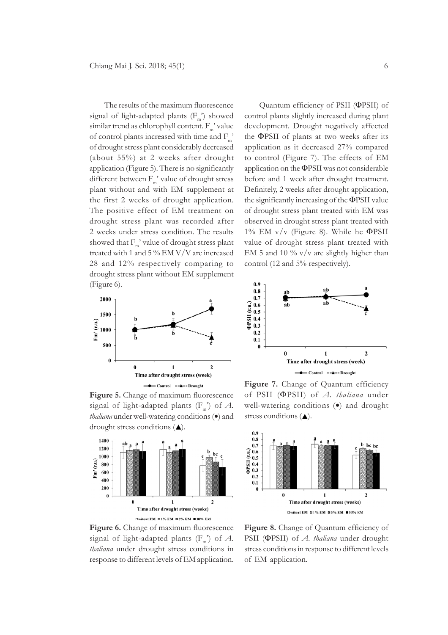The results of the maximum fluorescence signal of light-adapted plants  $(F_m)$  showed similar trend as chlorophyll content.  $F_{m}$ ' value of control plants increased with time and F\_' of drought stress plant considerably decreased (about 55%) at 2 weeks after drought application (Figure 5). There is no significantly different between  $F_{m}$ ' value of drought stress plant without and with EM supplement at the first 2 weeks of drought application. The positive effect of EM treatment on drought stress plant was recorded after 2 weeks under stress condition. The results showed that  $F_m'$  value of drought stress plant treated with 1 and 5 % EM V/V are increased 28 and 12% respectively comparing to drought stress plant without EM supplement (Figure 6).



**Figure 5.** Change of maximum fluorescence signal of light-adapted plants  $(F_m)$  of A. *thaliana* under well-watering conditions (•) and drought stress conditions  $(\triangle)$ .



**Figure 6.** Change of maximum fluorescence signal of light-adapted plants  $(F_m)$  of A. *thaliana* under drought stress conditions in response to different levels of EM application.

Quantum efficiency of PSII (ΦPSII) of control plants slightly increased during plant development. Drought negatively affected the ΦPSII of plants at two weeks after its application as it decreased 27% compared to control (Figure 7). The effects of EM application on the ΦPSII was not considerable before and 1 week after drought treatment. Definitely, 2 weeks after drought application, the significantly increasing of the ΦPSII value of drought stress plant treated with EM was observed in drought stress plant treated with 1% EM  $v/v$  (Figure 8). While he  $\Phi$ PSII value of drought stress plant treated with EM 5 and 10  $\%$  v/v are slightly higher than control (12 and 5% respectively).



**Figure 7.** Change of Quantum efficiency of PSII (ΦPSII) of *A. thaliana* under well-watering conditions (•) and drought stress conditions  $($ \blacktriangle).



Figure 8. Change of Quantum efficiency of PSII (ΦPSII) of *A. thaliana* under drought stress conditions in response to different levels of EM application.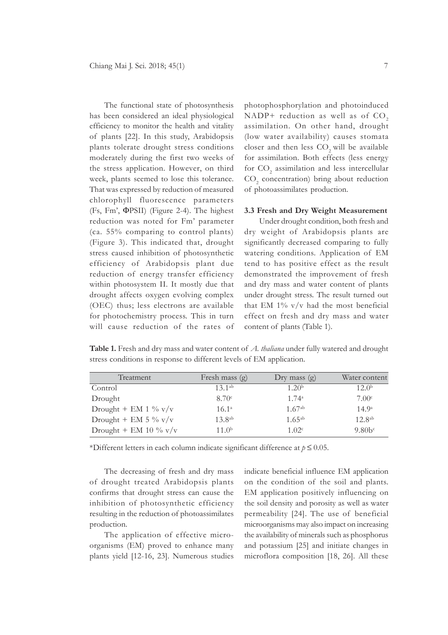The functional state of photosynthesis has been considered an ideal physiological efficiency to monitor the health and vitality of plants [22]. In this study, Arabidopsis plants tolerate drought stress conditions moderately during the first two weeks of the stress application. However, on third week, plants seemed to lose this tolerance. That was expressed by reduction of measured chlorophyll fluorescence parameters (Fs, Fm', ΦPSII) (Figure 2-4). The highest reduction was noted for Fm' parameter (ca. 55% comparing to control plants) (Figure 3). This indicated that, drought stress caused inhibition of photosynthetic efficiency of Arabidopsis plant due reduction of energy transfer efficiency within photosystem II. It mostly due that drought affects oxygen evolving complex (OEC) thus; less electrons are available for photochemistry process. This in turn will cause reduction of the rates of photophosphorylation and photoinduced NADP+ reduction as well as of  $CO<sub>2</sub>$ assimilation. On other hand, drought (low water availability) causes stomata closer and then less  $CO$ , will be available for assimilation. Both effects (less energy for  $CO_2$  assimilation and less intercellular CO<sub>2</sub> concentration) bring about reduction of photoassimilates production.

# **3.3 Fresh and Dry Weight Measurement**

Under drought condition, both fresh and dry weight of Arabidopsis plants are significantly decreased comparing to fully watering conditions. Application of EM tend to has positive effect as the result demonstrated the improvement of fresh and dry mass and water content of plants under drought stress. The result turned out that EM  $1\%$  v/v had the most beneficial effect on fresh and dry mass and water content of plants (Table 1).

**Table 1.** Fresh and dry mass and water content of *A. thaliana* under fully watered and drought stress conditions in response to different levels of EM application.

| Treatment                | Fresh mass (g)    | Dry mass $(g)$    | Water content     |
|--------------------------|-------------------|-------------------|-------------------|
| Control                  | $13^{1ab}$        | 1.20 <sup>b</sup> | 12.0 <sup>b</sup> |
| Drought                  | 8.70 <sup>c</sup> | $1.74^{\circ}$    | 7.00 <sup>c</sup> |
| Drought + EM 1 $\%$ v/v  | $16.1^{\circ}$    | $1.67^{ab}$       | 14.9 <sup>a</sup> |
| Drought + EM 5 % $v/v$   | $13.8^{ab}$       | $1.65^{ab}$       | $12.8^{ab}$       |
| Drought + EM 10 $\%$ v/v | 11.0 <sup>b</sup> | 1.02c             | 9.80 <sup>c</sup> |

\*Different letters in each column indicate significant difference at *p* ≤ 0.05.

The decreasing of fresh and dry mass of drought treated Arabidopsis plants confirms that drought stress can cause the inhibition of photosynthetic efficiency resulting in the reduction of photoassimilates production.

The application of effective microorganisms (EM) proved to enhance many plants yield [12-16, 23]. Numerous studies indicate beneficial influence EM application on the condition of the soil and plants. EM application positively influencing on the soil density and porosity as well as water permeability [24]. The use of beneficial microorganisms may also impact on increasing the availability of minerals such as phosphorus and potassium [25] and initiate changes in microflora composition [18, 26]. All these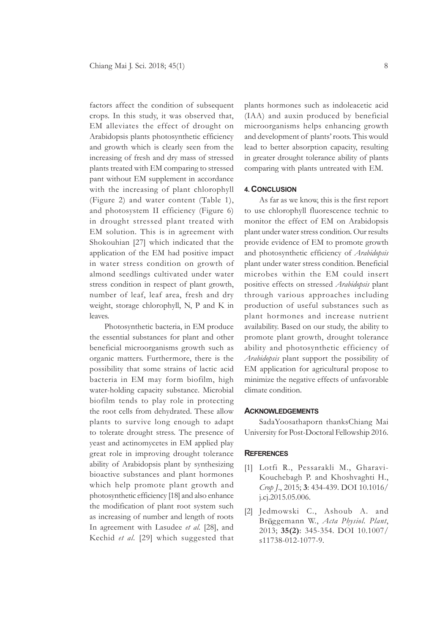factors affect the condition of subsequent crops. In this study, it was observed that, EM alleviates the effect of drought on Arabidopsis plants photosynthetic efficiency and growth which is clearly seen from the increasing of fresh and dry mass of stressed plants treated with EM comparing to stressed pant without EM supplement in accordance with the increasing of plant chlorophyll (Figure 2) and water content (Table 1), and photosystem II efficiency (Figure 6) in drought stressed plant treated with EM solution. This is in agreement with Shokouhian [27] which indicated that the application of the EM had positive impact in water stress condition on growth of almond seedlings cultivated under water stress condition in respect of plant growth, number of leaf, leaf area, fresh and dry weight, storage chlorophyll, N, P and K in leaves.

Photosynthetic bacteria, in EM produce the essential substances for plant and other beneficial microorganisms growth such as organic matters. Furthermore, there is the possibility that some strains of lactic acid bacteria in EM may form biofilm, high water-holding capacity substance. Microbial biofilm tends to play role in protecting the root cells from dehydrated. These allow plants to survive long enough to adapt to tolerate drought stress. The presence of yeast and actinomycetes in EM applied play great role in improving drought tolerance ability of Arabidopsis plant by synthesizing bioactive substances and plant hormones which help promote plant growth and photosynthetic efficiency [18] and also enhance the modification of plant root system such as increasing of number and length of roots In agreement with Lasudee *et al.* [28], and Kechid *et al.* [29] which suggested that

plants hormones such as indoleacetic acid (IAA) and auxin produced by beneficial microorganisms helps enhancing growth and development of plants' roots. This would lead to better absorption capacity, resulting in greater drought tolerance ability of plants comparing with plants untreated with EM.

#### **4. CONCLUSION**

As far as we know, this is the first report to use chlorophyll fluorescence technic to monitor the effect of EM on Arabidopsis plant under water stress condition. Our results provide evidence of EM to promote growth and photosynthetic efficiency of *Arabidopsis* plant under water stress condition. Beneficial microbes within the EM could insert positive effects on stressed *Arabidopsis* plant through various approaches including production of useful substances such as plant hormones and increase nutrient availability. Based on our study, the ability to promote plant growth, drought tolerance ability and photosynthetic efficiency of *Arabidopsis* plant support the possibility of EM application for agricultural propose to minimize the negative effects of unfavorable climate condition.

#### **ACKNOWLEDGEMENTS**

SadaYoosathaporn thanksChiang Mai University for Post-Doctoral Fellowship 2016.

#### **REFERENCES**

- [1] Lotfi R., Pessarakli M., Gharavi-Kouchebagh P. and Khoshvaghti H., *Crop J*., 2015; **3**: 434-439. DOI 10.1016/ j.cj.2015.05.006.
- [2] Jedmowski C., Ashoub A. and Br ggemann W., *Acta Physiol. Plant*, 2013; **35(2)**: 345-354. DOI 10.1007/ s11738-012-1077-9.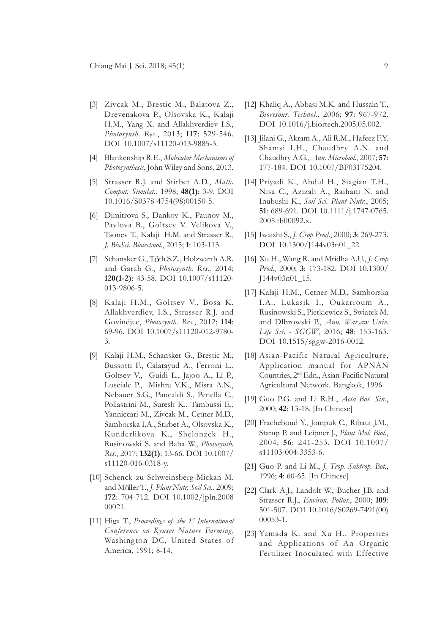- [3] Zivcak M., Brestic M., Balatova Z., Drevenakova P., Olsovska K., Kalaji H.M., Yang X. and Allakhverdiev I.S., *Photosynth. Res*., 2013; **117**: 529-546. DOI 10.1007/s11120-013-9885-3.
- [4] Blankenship R.E., *Molecular Mechanisms of Photosynthesis*, John Wiley and Sons, 2013.
- [5] Strasser R.J. and Stirbet A.D., *Math. Comput. Simulat.*, 1998; **48(1)**: 3-9. DOI 10.1016/S0378-4754(98)00150-5.
- [6] Dimitrova S., Dankov K., Paunov M., Pavlova B., Goltsev V. Velikova V., Tsonev T., Kalaji H.M. and Strasser R., *J. BioSci. Biotechnol*., 2015; **1**: 103-113.
- [7] Schansker G., Tóth S.Z., Holzwarth A.R. and Garab G., *Photosynth. Res*., 2014; **120(1-2)**: 43-58. DOI 10.1007/s11120- 013-9806-5.
- [8] Kalaji H.M., Goltsev V., Bosa K. Allakhverdiev, I.S., Strasser R.J. and Govindjee, *Photosynth. Res.*, 2012; **114**: 69-96. DOI 10.1007/s11120-012-9780- 3.
- [9] Kalaji H.M., Schansker G., Brestic M., Bussotti F., Calatayud A., Ferroni L., Goltsev V., Guidi L., Jajoo A., Li P., Losciale P., Mishra V.K., Misra A.N., Nebauer S.G., Pancaldi S., Penella C., Pollastrini M., Suresh K., Tambussi E., Yanniccari M., Zivcak M., Cetner M.D., Samborska I.A., Stirbet A., Olsovska K., Kunderlikova K., Shelonzek H., Rusinowski S. and Baba W., *Photosynth. Res.*, 2017; **132(1)**: 13-66. DOI 10.1007/ s11120-016-0318-y.
- [10] Schenck zu Schweinsberg-Mickan M. and Müller T., *J. Plant Nutr. Soil Sci.*, 2009; **172**: 704-712. DOI 10.1002/jpln.2008 00021.
- [11] Higa T., *Proceedings of the 1st International Conference on Kyusei Nature Farming*, Washington DC, United States of America, 1991; 8-14.
- [12] Khaliq A., Abbasi M.K. and Hussain T., *Bioresour. Technol.*, 2006; **97**: 967-972. DOI 10.1016/j.biortech.2005.05.002.
- [13] Jilani G., Akram A., Ali R.M., Hafeez F.Y. Shamsi I.H., Chaudhry A.N. and Chaudhry A.G., *Ann. Microbiol*., 2007; **57**: 177-184. DOI 10.1007/BF03175204.
- [14] Priyadi K., Abdul H., Siagian T.H., Nisa C., Azizah A., Raihani N. and Inubushi K., *Soil Sci. Plant Nutr.*, 2005; **51**: 689-691. DOI 10.1111/j.1747-0765. 2005.tb00092.x.
- [15] Iwaishi S., *J. Crop Prod*., 2000; **3**: 269-273. DOI 10.1300/J144v03n01\_22.
- [16] Xu H., Wang R. and Mridha A.U., *J. Crop Prod*., 2000; **3**: 173-182. DOI 10.1300/ J144v03n01\_15.
- [17] Kalaji H.M., Cetner M.D., Samborska I.A., Lukasik I., Oukarroum A., Rusinowski S., Pietkiewicz S., Swiatek M. and Dlbrowski P., *Ann. Warsaw Univ. Life Sci. - SGGW*, 2016; **48**: 153-163. DOI 10.1515/sggw-2016-0012.
- [18] Asian-Pacific Natural Agriculture, Application manual for APNAN Countries, 2nd Edn., Asian-Pacific Natural Agricultural Network. Bangkok, 1996.
- [19] Guo P.G. and Li R.H., *Acta Bot. Sin.*, 2000; **42**: 13-18. [In Chinese]
- [20] Fracheboud Y., Jompuk C., Ribaut J.M., Stamp P. and Leipner J., *Plant Mol. Biol.*, 2004; **56**: 241-253. DOI 10.1007/ s11103-004-3353-6.
- [21] Guo P. and Li M., *J. Trop. Subtrop. Bot.*, 1996; **4**: 60-65. [In Chinese]
- [22] Clark A.J., Landolt W., Bucher J.B. and Strasser R.J., *Environ. Pollut.*, 2000; **109**: 501-507. DOI 10.1016/S0269-7491(00) 00053-1.
- [23] Yamada K. and Xu H., Properties and Applications of An Organic Fertilizer Inoculated with Effective